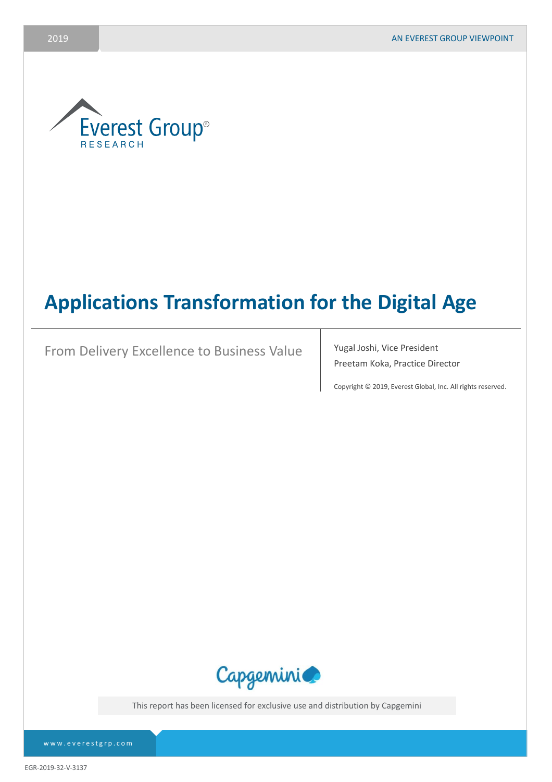

# **Applications Transformation for the Digital Age**

From Delivery Excellence to Business Value | Yugal Joshi, Vice President

Preetam Koka, Practice Director

Copyright © 2019, Everest Global, Inc. All rights reserved.



This report has been licensed for exclusive use and distribution by Capgemini

EGR-2019-32-V-3137

www.everestgrp.com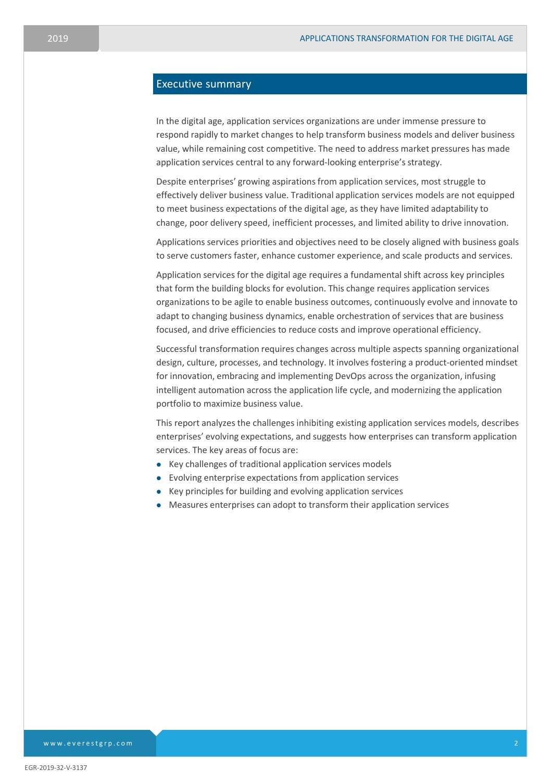# Executive summary

In the digital age, application services organizations are under immense pressure to respond rapidly to market changes to help transform business models and deliver business value, while remaining cost competitive. The need to address market pressures has made application services central to any forward-looking enterprise's strategy.

Despite enterprises' growing aspirations from application services, most struggle to effectively deliver business value. Traditional application services models are not equipped to meet business expectations of the digital age, as they have limited adaptability to change, poor delivery speed, inefficient processes, and limited ability to drive innovation.

Applications services priorities and objectives need to be closely aligned with business goals to serve customers faster, enhance customer experience, and scale products and services.

Application services for the digital age requires a fundamental shift across key principles that form the building blocks for evolution. This change requires application services organizations to be agile to enable business outcomes, continuously evolve and innovate to adapt to changing business dynamics, enable orchestration of services that are business focused, and drive efficiencies to reduce costs and improve operational efficiency.

Successful transformation requires changes across multiple aspects spanning organizational design, culture, processes, and technology. It involves fostering a product-oriented mindset for innovation, embracing and implementing DevOps across the organization, infusing intelligent automation across the application life cycle, and modernizing the application portfolio to maximize business value.

This report analyzes the challenges inhibiting existing application services models, describes enterprises' evolving expectations, and suggests how enterprises can transform application services. The key areas of focus are:

- ⚫ Key challenges of traditional application services models
- ⚫ Evolving enterprise expectations from application services
- ⚫ Key principles for building and evolving application services
- ⚫ Measures enterprises can adopt to transform their application services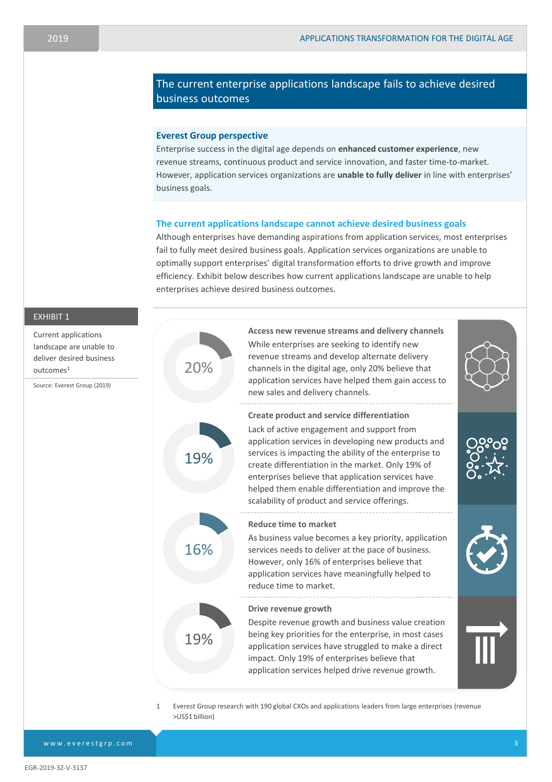# The current enterprise applications landscape fails to achieve desired business outcomes

#### **Everest Group perspective**

Enterprise success in the digital age depends on **enhanced customer experience**, new revenue streams, continuous product and service innovation, and faster time-to-market. However, application services organizations are **unable to fully deliver** in line with enterprises' business goals.

## **The current applications landscape cannot achieve desired business goals**

Although enterprises have demanding aspirations from application services, most enterprises fail to fully meet desired business goals. Application services organizations are unable to optimally support enterprises' digital transformation efforts to drive growth and improve efficiency. Exhibit below describes how current applications landscape are unable to help enterprises achieve desired business outcomes.

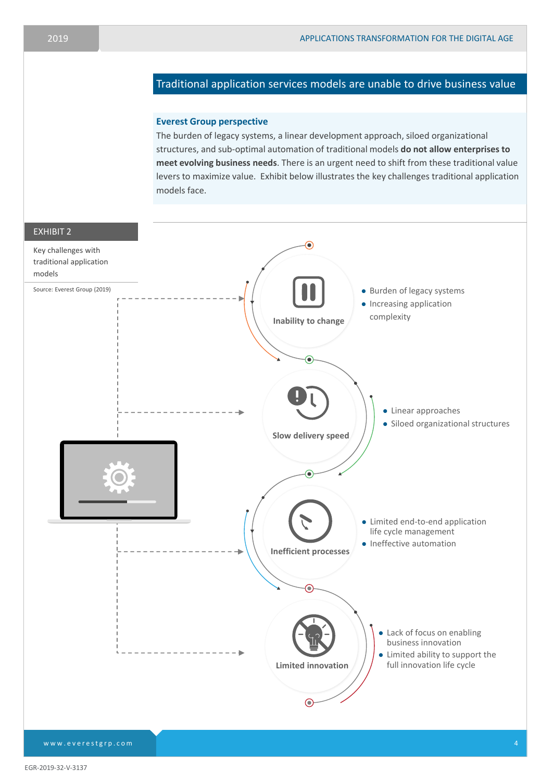# Traditional application services models are unable to drive business value

## **Everest Group perspective**

The burden of legacy systems, a linear development approach, siloed organizational structures, and sub-optimal automation of traditional models **do not allow enterprises to meet evolving business needs**. There is an urgent need to shift from these traditional value levers to maximize value. Exhibit below illustrates the key challenges traditional application models face.

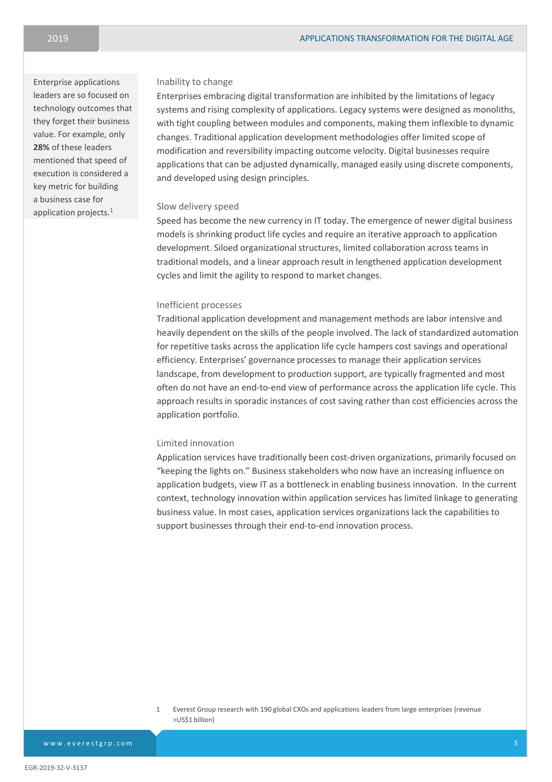Enterprise applications leaders are so focused on technology outcomes that they forget their business value. For example, only **28%** of these leaders mentioned that speed of execution is considered a key metric for building a business case for application projects.<sup>1</sup>

#### Inability to change

Enterprises embracing digital transformation are inhibited by the limitations of legacy systems and rising complexity of applications. Legacy systems were designed as monoliths, with tight coupling between modules and components, making them inflexible to dynamic changes. Traditional application development methodologies offer limited scope of modification and reversibility impacting outcome velocity. Digital businesses require applications that can be adjusted dynamically, managed easily using discrete components, and developed using design principles.

#### Slow delivery speed

Speed has become the new currency in IT today. The emergence of newer digital business models is shrinking product life cycles and require an iterative approach to application development. Siloed organizational structures, limited collaboration across teams in traditional models, and a linear approach result in lengthened application development cycles and limit the agility to respond to market changes.

## Inefficient processes

Traditional application development and management methods are labor intensive and heavily dependent on the skills of the people involved. The lack of standardized automation for repetitive tasks across the application life cycle hampers cost savings and operational efficiency. Enterprises' governance processes to manage their application services landscape, from development to production support, are typically fragmented and most often do not have an end-to-end view of performance across the application life cycle. This approach results in sporadic instances of cost saving rather than cost efficiencies across the application portfolio.

## Limited innovation

Application services have traditionally been cost-driven organizations, primarily focused on "keeping the lights on." Business stakeholders who now have an increasing influence on application budgets, view IT as a bottleneck in enabling business innovation. In the current context, technology innovation within application services has limited linkage to generating business value. In most cases, application services organizations lack the capabilities to support businesses through their end-to-end innovation process.

1 Everest Group research with 190 global CXOs and applications leaders from large enterprises (revenue >US\$1 billion)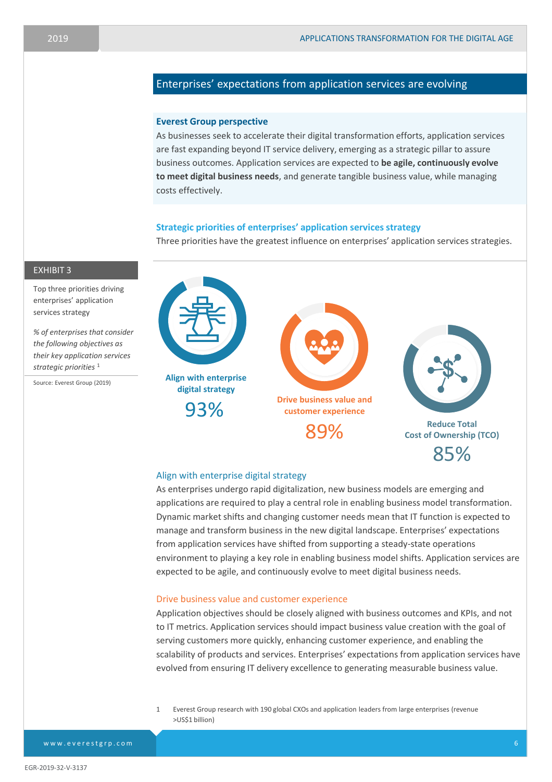# Enterprises' expectations from application services are evolving

#### **Everest Group perspective**

As businesses seek to accelerate their digital transformation efforts, application services are fast expanding beyond IT service delivery, emerging as a strategic pillar to assure business outcomes. Application services are expected to **be agile, continuously evolve to meet digital business needs**, and generate tangible business value, while managing costs effectively.

# **Strategic priorities of enterprises' application services strategy**

Three priorities have the greatest influence on enterprises' application services strategies.



# Align with enterprise digital strategy

As enterprises undergo rapid digitalization, new business models are emerging and applications are required to play a central role in enabling business model transformation. Dynamic market shifts and changing customer needs mean that IT function is expected to manage and transform business in the new digital landscape. Enterprises' expectations from application services have shifted from supporting a steady-state operations environment to playing a key role in enabling business model shifts. Application services are expected to be agile, and continuously evolve to meet digital business needs.

#### Drive business value and customer experience

Application objectives should be closely aligned with business outcomes and KPIs, and not to IT metrics. Application services should impact business value creation with the goal of serving customers more quickly, enhancing customer experience, and enabling the scalability of products and services. Enterprises' expectations from application services have evolved from ensuring IT delivery excellence to generating measurable business value.

1 Everest Group research with 190 global CXOs and application leaders from large enterprises (revenue >US\$1 billion)

EXHIBIT 3

Top three priorities driving enterprises' application services strategy

*% of enterprises that consider the following objectives as their key application services strategic priorities* <sup>1</sup>

Source: Everest Group (2019)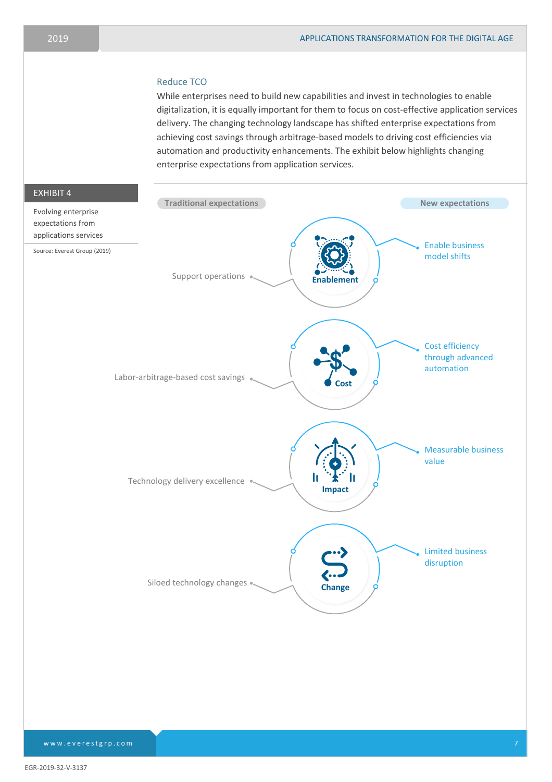## Reduce TCO

While enterprises need to build new capabilities and invest in technologies to enable digitalization, it is equally important for them to focus on cost-effective application services delivery. The changing technology landscape has shifted enterprise expectations from achieving cost savings through arbitrage-based models to driving cost efficiencies via automation and productivity enhancements. The exhibit below highlights changing enterprise expectations from application services.



EGR-2019-32-V-3137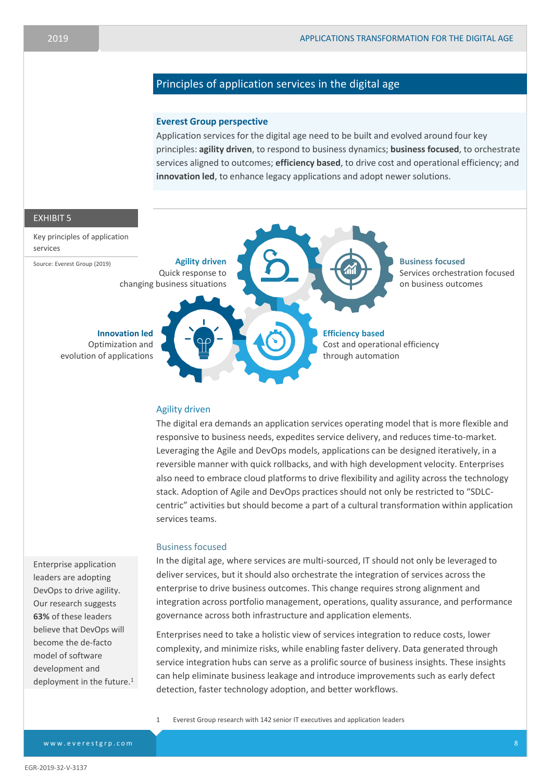# Principles of application services in the digital age

#### **Everest Group perspective**

Application services for the digital age need to be built and evolved around four key principles: **agility driven**, to respond to business dynamics; **business focused**, to orchestrate services aligned to outcomes; **efficiency based**, to drive cost and operational efficiency; and **innovation led**, to enhance legacy applications and adopt newer solutions.



#### Agility driven

The digital era demands an application services operating model that is more flexible and responsive to business needs, expedites service delivery, and reduces time-to-market. Leveraging the Agile and DevOps models, applications can be designed iteratively, in a reversible manner with quick rollbacks, and with high development velocity. Enterprises also need to embrace cloud platforms to drive flexibility and agility across the technology stack. Adoption of Agile and DevOps practices should not only be restricted to "SDLCcentric" activities but should become a part of a cultural transformation within application services teams.

#### Business focused

In the digital age, where services are multi-sourced, IT should not only be leveraged to deliver services, but it should also orchestrate the integration of services across the enterprise to drive business outcomes. This change requires strong alignment and integration across portfolio management, operations, quality assurance, and performance governance across both infrastructure and application elements.

Enterprises need to take a holistic view of services integration to reduce costs, lower complexity, and minimize risks, while enabling faster delivery. Data generated through service integration hubs can serve as a prolific source of business insights. These insights can help eliminate business leakage and introduce improvements such as early defect detection, faster technology adoption, and better workflows.

1 Everest Group research with 142 senior IT executives and application leaders

Enterprise application leaders are adopting DevOps to drive agility. Our research suggests **63%** of these leaders believe that DevOps will become the de-facto model of software development and deployment in the future.<sup>1</sup>

www.everestgrp.com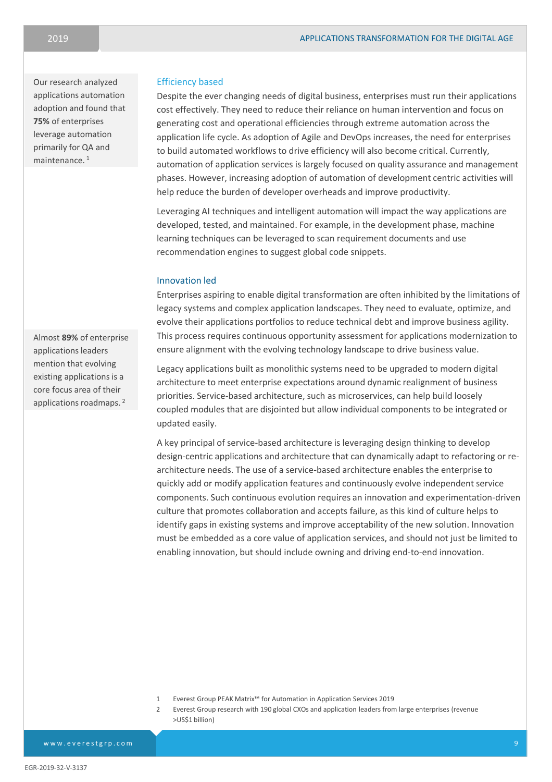Our research analyzed applications automation adoption and found that **75%** of enterprises leverage automation primarily for QA and maintenance. <sup>1</sup>

#### Efficiency based

Despite the ever changing needs of digital business, enterprises must run their applications cost effectively. They need to reduce their reliance on human intervention and focus on generating cost and operational efficiencies through extreme automation across the application life cycle. As adoption of Agile and DevOps increases, the need for enterprises to build automated workflows to drive efficiency will also become critical. Currently, automation of application services is largely focused on quality assurance and management phases. However, increasing adoption of automation of development centric activities will help reduce the burden of developer overheads and improve productivity.

Leveraging AI techniques and intelligent automation will impact the way applications are developed, tested, and maintained. For example, in the development phase, machine learning techniques can be leveraged to scan requirement documents and use recommendation engines to suggest global code snippets.

# Innovation led

Enterprises aspiring to enable digital transformation are often inhibited by the limitations of legacy systems and complex application landscapes. They need to evaluate, optimize, and evolve their applications portfolios to reduce technical debt and improve business agility. This process requires continuous opportunity assessment for applications modernization to ensure alignment with the evolving technology landscape to drive business value.

Legacy applications built as monolithic systems need to be upgraded to modern digital architecture to meet enterprise expectations around dynamic realignment of business priorities. Service-based architecture, such as microservices, can help build loosely coupled modules that are disjointed but allow individual components to be integrated or updated easily.

A key principal of service-based architecture is leveraging design thinking to develop design-centric applications and architecture that can dynamically adapt to refactoring or rearchitecture needs. The use of a service-based architecture enables the enterprise to quickly add or modify application features and continuously evolve independent service components. Such continuous evolution requires an innovation and experimentation-driven culture that promotes collaboration and accepts failure, as this kind of culture helps to identify gaps in existing systems and improve acceptability of the new solution. Innovation must be embedded as a core value of application services, and should not just be limited to enabling innovation, but should include owning and driving end-to-end innovation.

- 1 Everest Group PEAK Matrix™ for Automation in Application Services 2019
- 2 Everest Group research with 190 global CXOs and application leaders from large enterprises (revenue >US\$1 billion)

Almost **89%** of enterprise applications leaders mention that evolving existing applications is a core focus area of their applications roadmaps. <sup>2</sup>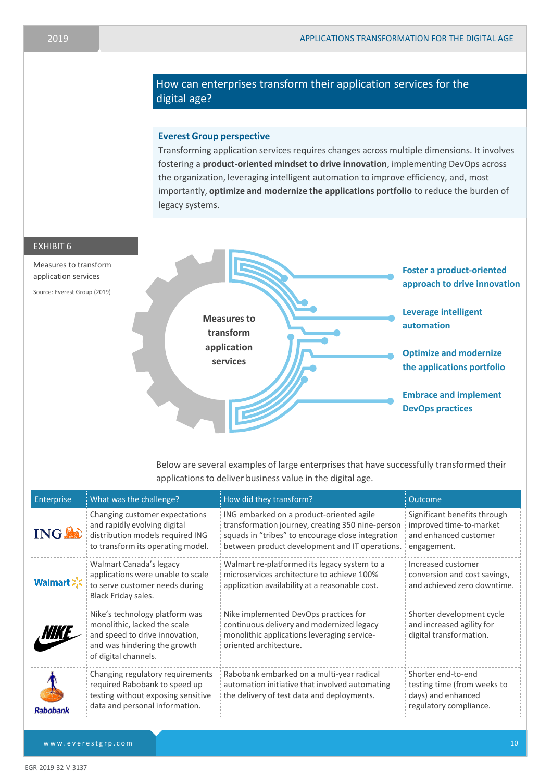# How can enterprises transform their application services for the digital age?

# **Everest Group perspective**

Transforming application services requires changes across multiple dimensions. It involves fostering a **product-oriented mindset to drive innovation**, implementing DevOps across the organization, leveraging intelligent automation to improve efficiency, and, most importantly, **optimize and modernize the applications portfolio** to reduce the burden of legacy systems.





Below are several examples of large enterprises that have successfully transformed their applications to deliver business value in the digital age.

| Enterprise      | What was the challenge?                                                                                                                                  | How did they transform?                                                                                                                                                                             | <b>Outcome</b>                                                                                    |
|-----------------|----------------------------------------------------------------------------------------------------------------------------------------------------------|-----------------------------------------------------------------------------------------------------------------------------------------------------------------------------------------------------|---------------------------------------------------------------------------------------------------|
| <b>ING AD</b>   | Changing customer expectations<br>and rapidly evolving digital<br>distribution models required ING<br>to transform its operating model.                  | ING embarked on a product-oriented agile<br>transformation journey, creating 350 nine-person<br>squads in "tribes" to encourage close integration<br>between product development and IT operations. | Significant benefits through<br>improved time-to-market<br>and enhanced customer<br>engagement.   |
| Walmart :       | Walmart Canada's legacy<br>applications were unable to scale<br>to serve customer needs during<br>Black Friday sales.                                    | Walmart re-platformed its legacy system to a<br>microservices architecture to achieve 100%<br>application availability at a reasonable cost.                                                        | Increased customer<br>conversion and cost savings,<br>and achieved zero downtime.                 |
| <i>NIKE</i>     | Nike's technology platform was<br>monolithic, lacked the scale<br>and speed to drive innovation,<br>and was hindering the growth<br>of digital channels. | Nike implemented DevOps practices for<br>continuous delivery and modernized legacy<br>monolithic applications leveraging service-<br>oriented architecture.                                         | Shorter development cycle<br>and increased agility for<br>digital transformation.                 |
| <b>Rabobank</b> | Changing regulatory requirements<br>required Rabobank to speed up<br>testing without exposing sensitive<br>data and personal information.                | Rabobank embarked on a multi-year radical<br>automation initiative that involved automating<br>the delivery of test data and deployments.                                                           | Shorter end-to-end<br>testing time (from weeks to<br>days) and enhanced<br>regulatory compliance. |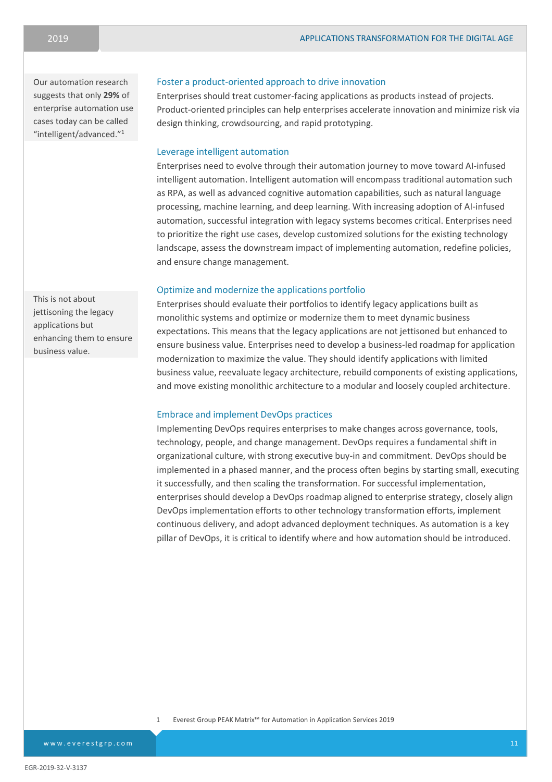Our automation research suggests that only **29%** of enterprise automation use cases today can be called "intelligent/advanced." 1

## Foster a product-oriented approach to drive innovation

Enterprises should treat customer-facing applications as products instead of projects. Product-oriented principles can help enterprises accelerate innovation and minimize risk via design thinking, crowdsourcing, and rapid prototyping.

# Leverage intelligent automation

Enterprises need to evolve through their automation journey to move toward AI-infused intelligent automation. Intelligent automation will encompass traditional automation such as RPA, as well as advanced cognitive automation capabilities, such as natural language processing, machine learning, and deep learning. With increasing adoption of AI-infused automation, successful integration with legacy systems becomes critical. Enterprises need to prioritize the right use cases, develop customized solutions for the existing technology landscape, assess the downstream impact of implementing automation, redefine policies, and ensure change management.

## Optimize and modernize the applications portfolio

Enterprises should evaluate their portfolios to identify legacy applications built as monolithic systems and optimize or modernize them to meet dynamic business expectations. This means that the legacy applications are not jettisoned but enhanced to ensure business value. Enterprises need to develop a business-led roadmap for application modernization to maximize the value. They should identify applications with limited business value, reevaluate legacy architecture, rebuild components of existing applications, and move existing monolithic architecture to a modular and loosely coupled architecture.

## Embrace and implement DevOps practices

Implementing DevOps requires enterprises to make changes across governance, tools, technology, people, and change management. DevOps requires a fundamental shift in organizational culture, with strong executive buy-in and commitment. DevOps should be implemented in a phased manner, and the process often begins by starting small, executing it successfully, and then scaling the transformation. For successful implementation, enterprises should develop a DevOps roadmap aligned to enterprise strategy, closely align DevOps implementation efforts to other technology transformation efforts, implement continuous delivery, and adopt advanced deployment techniques. As automation is a key pillar of DevOps, it is critical to identify where and how automation should be introduced.

1 Everest Group PEAK Matrix™ for Automation in Application Services 2019

This is not about jettisoning the legacy applications but enhancing them to ensure business value.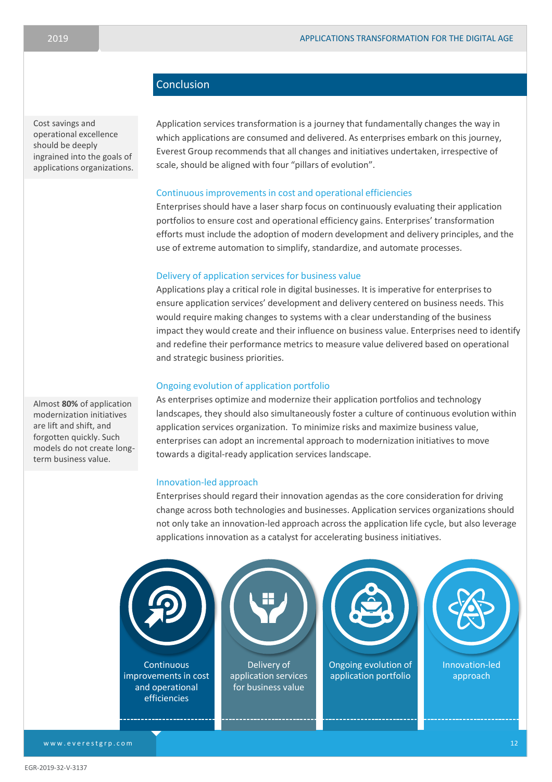# **Conclusion**

Cost savings and operational excellence should be deeply ingrained into the goals of applications organizations.

Application services transformation is a journey that fundamentally changes the way in which applications are consumed and delivered. As enterprises embark on this journey, Everest Group recommends that all changes and initiatives undertaken, irrespective of scale, should be aligned with four "pillars of evolution".

# Continuous improvements in cost and operational efficiencies

Enterprises should have a laser sharp focus on continuously evaluating their application portfolios to ensure cost and operational efficiency gains. Enterprises' transformation efforts must include the adoption of modern development and delivery principles, and the use of extreme automation to simplify, standardize, and automate processes.

#### Delivery of application services for business value

Applications play a critical role in digital businesses. It is imperative for enterprises to ensure application services' development and delivery centered on business needs. This would require making changes to systems with a clear understanding of the business impact they would create and their influence on business value. Enterprises need to identify and redefine their performance metrics to measure value delivered based on operational and strategic business priorities.

# Ongoing evolution of application portfolio

As enterprises optimize and modernize their application portfolios and technology landscapes, they should also simultaneously foster a culture of continuous evolution within application services organization. To minimize risks and maximize business value, enterprises can adopt an incremental approach to modernization initiatives to move towards a digital-ready application services landscape.

#### Innovation-led approach

Enterprises should regard their innovation agendas as the core consideration for driving change across both technologies and businesses. Application services organizations should not only take an innovation-led approach across the application life cycle, but also leverage applications innovation as a catalyst for accelerating business initiatives.



Almost **80%** of application modernization initiatives are lift and shift, and forgotten quickly. Such models do not create longterm business value.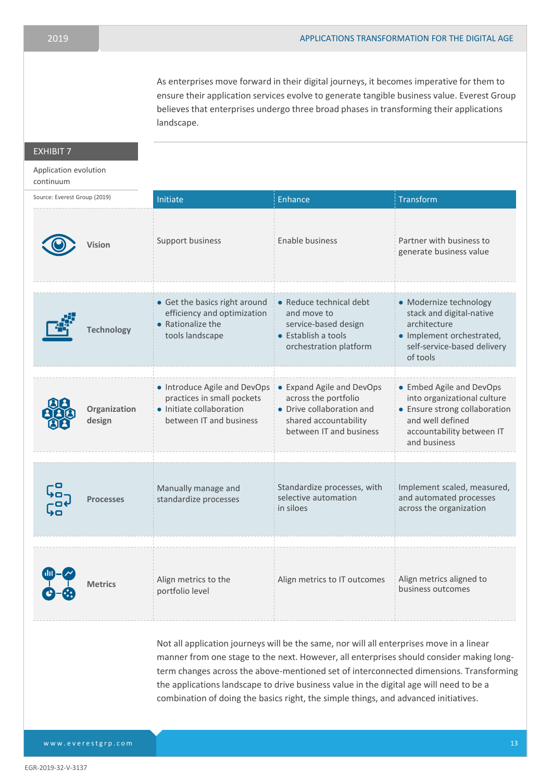As enterprises move forward in their digital journeys, it becomes imperative for them to ensure their application services evolve to generate tangible business value. Everest Group believes that enterprises undergo three broad phases in transforming their applications landscape.

# EXHIBIT 7

# Application evolution

#### continuum

| Source: Everest Group (2019) | Initiate                                                                                                          | Enhance                                                                                                                            | Transform                                                                                                                                                 |
|------------------------------|-------------------------------------------------------------------------------------------------------------------|------------------------------------------------------------------------------------------------------------------------------------|-----------------------------------------------------------------------------------------------------------------------------------------------------------|
| Vision                       | Support business                                                                                                  | Enable business                                                                                                                    | Partner with business to<br>generate business value                                                                                                       |
| <b>Technology</b>            | • Get the basics right around<br>efficiency and optimization<br>• Rationalize the<br>tools landscape              | • Reduce technical debt<br>and move to<br>service-based design<br>• Establish a tools<br>orchestration platform                    | • Modernize technology<br>stack and digital-native<br>architecture<br>• Implement orchestrated,<br>self-service-based delivery<br>of tools                |
| Organization<br>design       | • Introduce Agile and DevOps<br>practices in small pockets<br>• Initiate collaboration<br>between IT and business | • Expand Agile and DevOps<br>across the portfolio<br>• Drive collaboration and<br>shared accountability<br>between IT and business | • Embed Agile and DevOps<br>into organizational culture<br>• Ensure strong collaboration<br>and well defined<br>accountability between IT<br>and business |
| <b>Processes</b>             | Manually manage and<br>standardize processes                                                                      | Standardize processes, with<br>selective automation<br>in siloes                                                                   | Implement scaled, measured,<br>and automated processes<br>across the organization                                                                         |
| <b>Metrics</b>               | Align metrics to the<br>portfolio level                                                                           | Align metrics to IT outcomes                                                                                                       | Align metrics aligned to<br>business outcomes                                                                                                             |

Not all application journeys will be the same, nor will all enterprises move in a linear manner from one stage to the next. However, all enterprises should consider making longterm changes across the above-mentioned set of interconnected dimensions. Transforming the applications landscape to drive business value in the digital age will need to be a combination of doing the basics right, the simple things, and advanced initiatives.

www.everestgrp.com